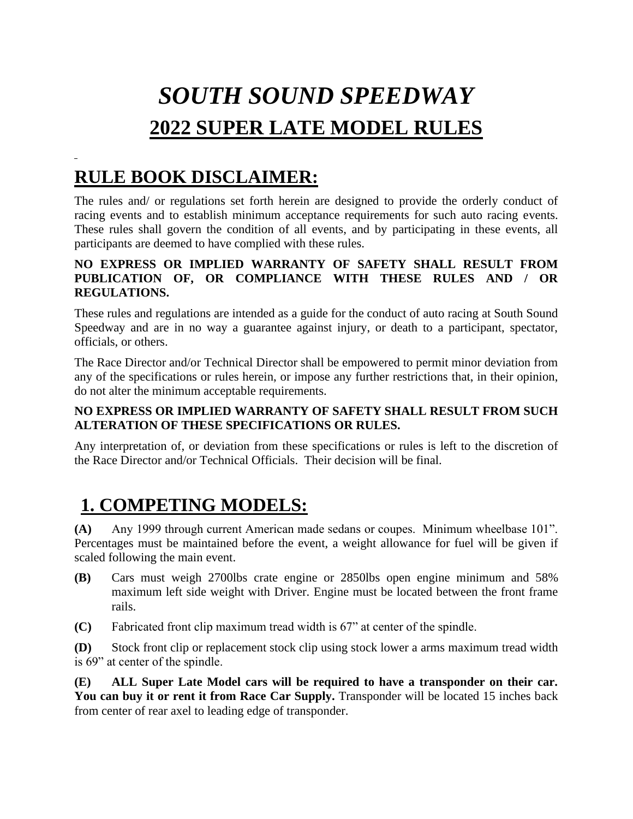# *SOUTH SOUND SPEEDWAY*  **2022 SUPER LATE MODEL RULES**

# **RULE BOOK DISCLAIMER:**

The rules and/ or regulations set forth herein are designed to provide the orderly conduct of racing events and to establish minimum acceptance requirements for such auto racing events. These rules shall govern the condition of all events, and by participating in these events, all participants are deemed to have complied with these rules.

#### **NO EXPRESS OR IMPLIED WARRANTY OF SAFETY SHALL RESULT FROM PUBLICATION OF, OR COMPLIANCE WITH THESE RULES AND / OR REGULATIONS.**

These rules and regulations are intended as a guide for the conduct of auto racing at South Sound Speedway and are in no way a guarantee against injury, or death to a participant, spectator, officials, or others.

The Race Director and/or Technical Director shall be empowered to permit minor deviation from any of the specifications or rules herein, or impose any further restrictions that, in their opinion, do not alter the minimum acceptable requirements.

#### **NO EXPRESS OR IMPLIED WARRANTY OF SAFETY SHALL RESULT FROM SUCH ALTERATION OF THESE SPECIFICATIONS OR RULES.**

Any interpretation of, or deviation from these specifications or rules is left to the discretion of the Race Director and/or Technical Officials. Their decision will be final.

# **1. COMPETING MODELS:**

**(A)** Any 1999 through current American made sedans or coupes. Minimum wheelbase 101". Percentages must be maintained before the event, a weight allowance for fuel will be given if scaled following the main event.

- **(B)** Cars must weigh 2700lbs crate engine or 2850lbs open engine minimum and 58% maximum left side weight with Driver. Engine must be located between the front frame rails.
- **(C)** Fabricated front clip maximum tread width is 67" at center of the spindle.

**(D)** Stock front clip or replacement stock clip using stock lower a arms maximum tread width is 69" at center of the spindle.

**(E) ALL Super Late Model cars will be required to have a transponder on their car.**  You can buy it or rent it from Race Car Supply. Transponder will be located 15 inches back from center of rear axel to leading edge of transponder.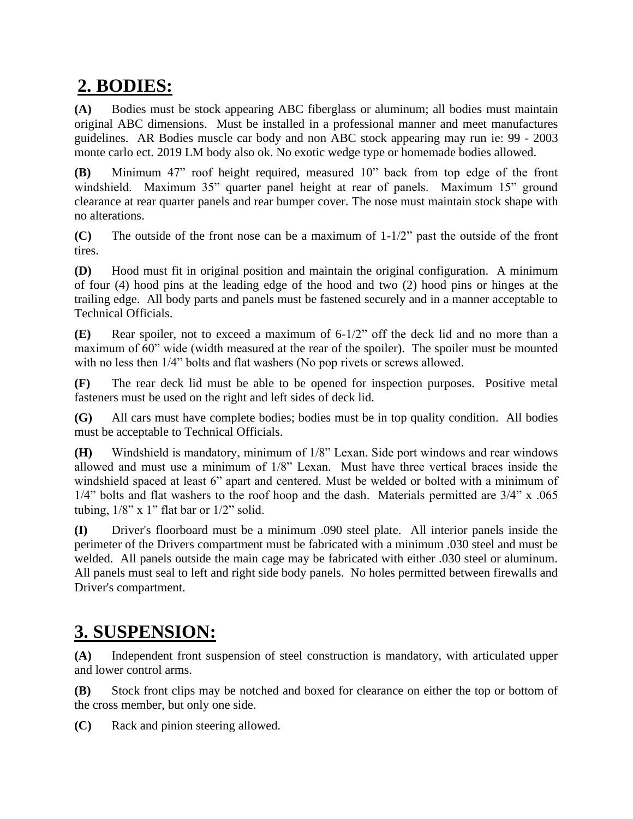# **2. BODIES:**

**(A)** Bodies must be stock appearing ABC fiberglass or aluminum; all bodies must maintain original ABC dimensions. Must be installed in a professional manner and meet manufactures guidelines. AR Bodies muscle car body and non ABC stock appearing may run ie: 99 - 2003 monte carlo ect. 2019 LM body also ok. No exotic wedge type or homemade bodies allowed.

**(B)** Minimum 47" roof height required, measured 10" back from top edge of the front windshield. Maximum 35" quarter panel height at rear of panels. Maximum 15" ground clearance at rear quarter panels and rear bumper cover. The nose must maintain stock shape with no alterations.

**(C)** The outside of the front nose can be a maximum of 1-1/2" past the outside of the front tires.

**(D)** Hood must fit in original position and maintain the original configuration. A minimum of four (4) hood pins at the leading edge of the hood and two (2) hood pins or hinges at the trailing edge. All body parts and panels must be fastened securely and in a manner acceptable to Technical Officials.

**(E)** Rear spoiler, not to exceed a maximum of 6-1/2" off the deck lid and no more than a maximum of 60" wide (width measured at the rear of the spoiler). The spoiler must be mounted with no less then  $1/4$ " bolts and flat washers (No pop rivets or screws allowed.

**(F)** The rear deck lid must be able to be opened for inspection purposes. Positive metal fasteners must be used on the right and left sides of deck lid.

**(G)** All cars must have complete bodies; bodies must be in top quality condition. All bodies must be acceptable to Technical Officials.

**(H)** Windshield is mandatory, minimum of 1/8" Lexan. Side port windows and rear windows allowed and must use a minimum of 1/8" Lexan. Must have three vertical braces inside the windshield spaced at least 6" apart and centered. Must be welded or bolted with a minimum of 1/4" bolts and flat washers to the roof hoop and the dash. Materials permitted are 3/4" x .065 tubing,  $1/8$ " x 1" flat bar or  $1/2$ " solid.

**(I)** Driver's floorboard must be a minimum .090 steel plate. All interior panels inside the perimeter of the Drivers compartment must be fabricated with a minimum .030 steel and must be welded. All panels outside the main cage may be fabricated with either .030 steel or aluminum. All panels must seal to left and right side body panels. No holes permitted between firewalls and Driver's compartment.

# **3. SUSPENSION:**

**(A)** Independent front suspension of steel construction is mandatory, with articulated upper and lower control arms.

**(B)** Stock front clips may be notched and boxed for clearance on either the top or bottom of the cross member, but only one side.

**(C)** Rack and pinion steering allowed.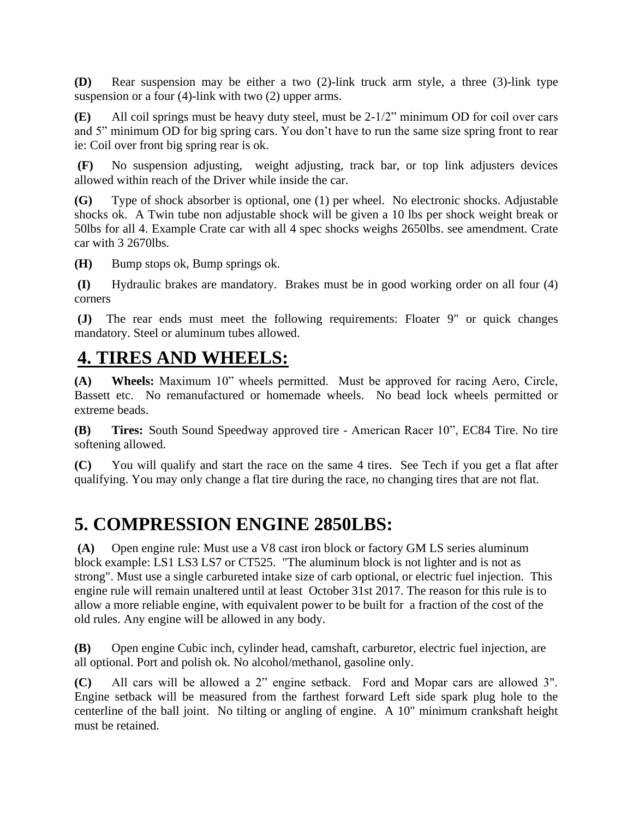**(D)** Rear suspension may be either a two (2)-link truck arm style, a three (3)-link type suspension or a four (4)-link with two (2) upper arms.

**(E)** All coil springs must be heavy duty steel, must be 2-1/2" minimum OD for coil over cars and 5" minimum OD for big spring cars. You don't have to run the same size spring front to rear ie: Coil over front big spring rear is ok.

**(F)** No suspension adjusting, weight adjusting, track bar, or top link adjusters devices allowed within reach of the Driver while inside the car.

**(G)** Type of shock absorber is optional, one (1) per wheel. No electronic shocks. Adjustable shocks ok. A Twin tube non adjustable shock will be given a 10 lbs per shock weight break or 50lbs for all 4. Example Crate car with all 4 spec shocks weighs 2650lbs. see amendment. Crate car with 3 2670lbs.

**(H)** Bump stops ok, Bump springs ok.

**(I)** Hydraulic brakes are mandatory. Brakes must be in good working order on all four (4) corners

**(J)** The rear ends must meet the following requirements: Floater 9" or quick changes mandatory. Steel or aluminum tubes allowed.

### **4. TIRES AND WHEELS:**

**(A) Wheels:** Maximum 10" wheels permitted. Must be approved for racing Aero, Circle, Bassett etc. No remanufactured or homemade wheels. No bead lock wheels permitted or extreme beads.

**(B) Tires:** South Sound Speedway approved tire - American Racer 10", EC84 Tire. No tire softening allowed.

**(C)** You will qualify and start the race on the same 4 tires. See Tech if you get a flat after qualifying. You may only change a flat tire during the race, no changing tires that are not flat.

### **5. COMPRESSION ENGINE 2850LBS:**

**(A)** Open engine rule: Must use a V8 cast iron block or factory GM LS series aluminum block example: LS1 LS3 LS7 or CT525. "The aluminum block is not lighter and is not as strong". Must use a single carbureted intake size of carb optional, or electric fuel injection. This engine rule will remain unaltered until at least October 31st 2017. The reason for this rule is to allow a more reliable engine, with equivalent power to be built for a fraction of the cost of the old rules. Any engine will be allowed in any body.

**(B)** Open engine Cubic inch, cylinder head, camshaft, carburetor, electric fuel injection, are all optional. Port and polish ok. No alcohol/methanol, gasoline only.

**(C)** All cars will be allowed a 2" engine setback. Ford and Mopar cars are allowed 3". Engine setback will be measured from the farthest forward Left side spark plug hole to the centerline of the ball joint. No tilting or angling of engine. A 10" minimum crankshaft height must be retained.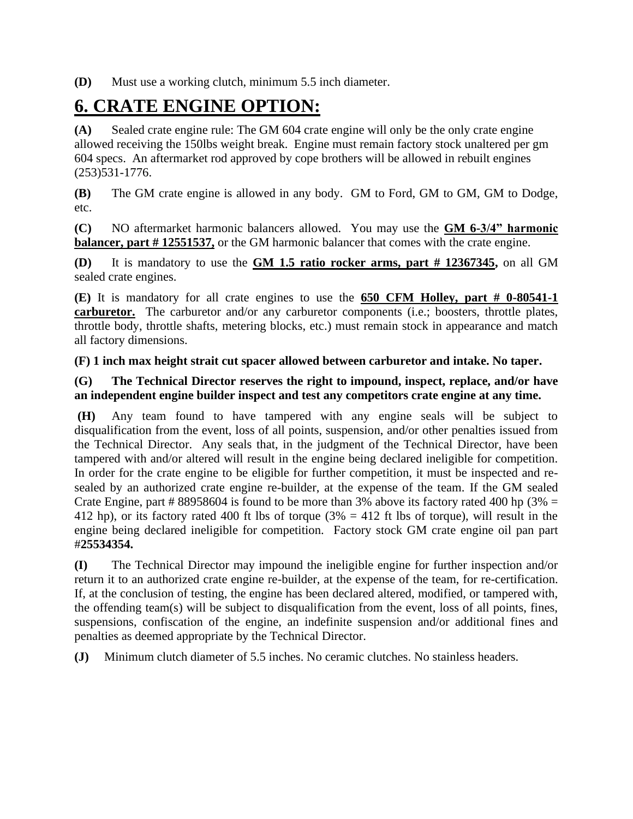**(D)** Must use a working clutch, minimum 5.5 inch diameter.

# **6. CRATE ENGINE OPTION:**

**(A)** Sealed crate engine rule: The GM 604 crate engine will only be the only crate engine allowed receiving the 150lbs weight break. Engine must remain factory stock unaltered per gm 604 specs. An aftermarket rod approved by cope brothers will be allowed in rebuilt engines (253)531-1776.

**(B)** The GM crate engine is allowed in any body. GM to Ford, GM to GM, GM to Dodge, etc.

**(C)** NO aftermarket harmonic balancers allowed. You may use the **GM 6-3/4" harmonic balancer, part # 12551537,** or the GM harmonic balancer that comes with the crate engine.

**(D)** It is mandatory to use the **GM 1.5 ratio rocker arms, part # 12367345,** on all GM sealed crate engines.

**(E)** It is mandatory for all crate engines to use the **650 CFM Holley, part # 0-80541-1 carburetor.** The carburetor and/or any carburetor components (i.e.; boosters, throttle plates, throttle body, throttle shafts, metering blocks, etc.) must remain stock in appearance and match all factory dimensions.

**(F) 1 inch max height strait cut spacer allowed between carburetor and intake. No taper.**

#### **(G) The Technical Director reserves the right to impound, inspect, replace, and/or have an independent engine builder inspect and test any competitors crate engine at any time.**

**(H)** Any team found to have tampered with any engine seals will be subject to disqualification from the event, loss of all points, suspension, and/or other penalties issued from the Technical Director. Any seals that, in the judgment of the Technical Director, have been tampered with and/or altered will result in the engine being declared ineligible for competition. In order for the crate engine to be eligible for further competition, it must be inspected and resealed by an authorized crate engine re-builder, at the expense of the team. If the GM sealed Crate Engine, part # 88958604 is found to be more than 3% above its factory rated 400 hp (3% = 412 hp), or its factory rated 400 ft lbs of torque ( $3\% = 412$  ft lbs of torque), will result in the engine being declared ineligible for competition. Factory stock GM crate engine oil pan part #**25534354.**

**(I)** The Technical Director may impound the ineligible engine for further inspection and/or return it to an authorized crate engine re-builder, at the expense of the team, for re-certification. If, at the conclusion of testing, the engine has been declared altered, modified, or tampered with, the offending team(s) will be subject to disqualification from the event, loss of all points, fines, suspensions, confiscation of the engine, an indefinite suspension and/or additional fines and penalties as deemed appropriate by the Technical Director.

**(J)** Minimum clutch diameter of 5.5 inches. No ceramic clutches. No stainless headers.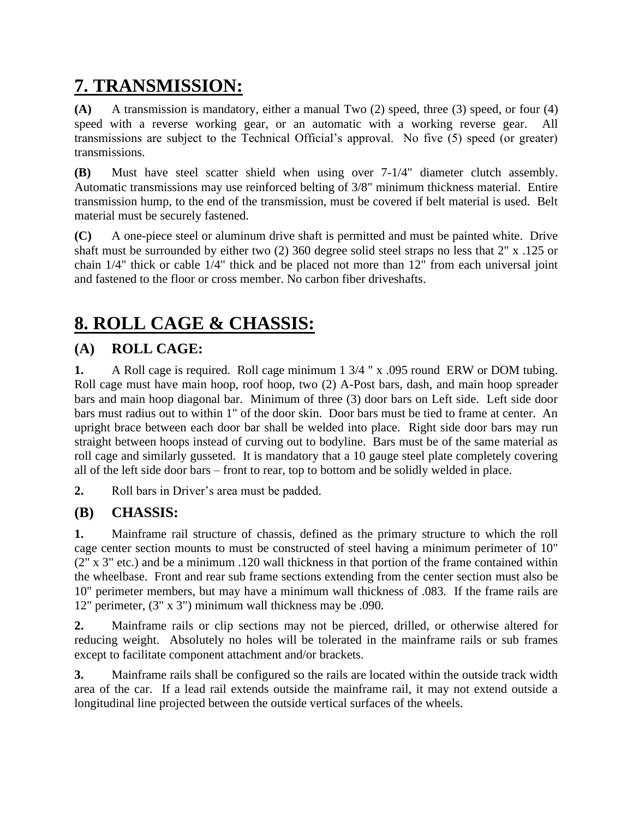# **7. TRANSMISSION:**

**(A)** A transmission is mandatory, either a manual Two (2) speed, three (3) speed, or four (4) speed with a reverse working gear, or an automatic with a working reverse gear. All transmissions are subject to the Technical Official's approval. No five (5) speed (or greater) transmissions.

**(B)** Must have steel scatter shield when using over 7-1/4" diameter clutch assembly. Automatic transmissions may use reinforced belting of 3/8" minimum thickness material. Entire transmission hump, to the end of the transmission, must be covered if belt material is used. Belt material must be securely fastened.

**(C)** A one-piece steel or aluminum drive shaft is permitted and must be painted white. Drive shaft must be surrounded by either two (2) 360 degree solid steel straps no less that 2" x .125 or chain 1/4" thick or cable 1/4" thick and be placed not more than 12" from each universal joint and fastened to the floor or cross member. No carbon fiber driveshafts.

# **8. ROLL CAGE & CHASSIS:**

### **(A) ROLL CAGE:**

**1.** A Roll cage is required. Roll cage minimum 1 3/4 " x .095 round ERW or DOM tubing. Roll cage must have main hoop, roof hoop, two (2) A-Post bars, dash, and main hoop spreader bars and main hoop diagonal bar. Minimum of three (3) door bars on Left side. Left side door bars must radius out to within 1" of the door skin. Door bars must be tied to frame at center. An upright brace between each door bar shall be welded into place. Right side door bars may run straight between hoops instead of curving out to bodyline. Bars must be of the same material as roll cage and similarly gusseted. It is mandatory that a 10 gauge steel plate completely covering all of the left side door bars – front to rear, top to bottom and be solidly welded in place.

**2.** Roll bars in Driver's area must be padded.

### **(B) CHASSIS:**

**1.** Mainframe rail structure of chassis, defined as the primary structure to which the roll cage center section mounts to must be constructed of steel having a minimum perimeter of 10" (2" x 3" etc.) and be a minimum .120 wall thickness in that portion of the frame contained within the wheelbase. Front and rear sub frame sections extending from the center section must also be 10" perimeter members, but may have a minimum wall thickness of .083. If the frame rails are 12" perimeter, (3" x 3") minimum wall thickness may be .090.

**2.** Mainframe rails or clip sections may not be pierced, drilled, or otherwise altered for reducing weight. Absolutely no holes will be tolerated in the mainframe rails or sub frames except to facilitate component attachment and/or brackets.

**3.** Mainframe rails shall be configured so the rails are located within the outside track width area of the car. If a lead rail extends outside the mainframe rail, it may not extend outside a longitudinal line projected between the outside vertical surfaces of the wheels.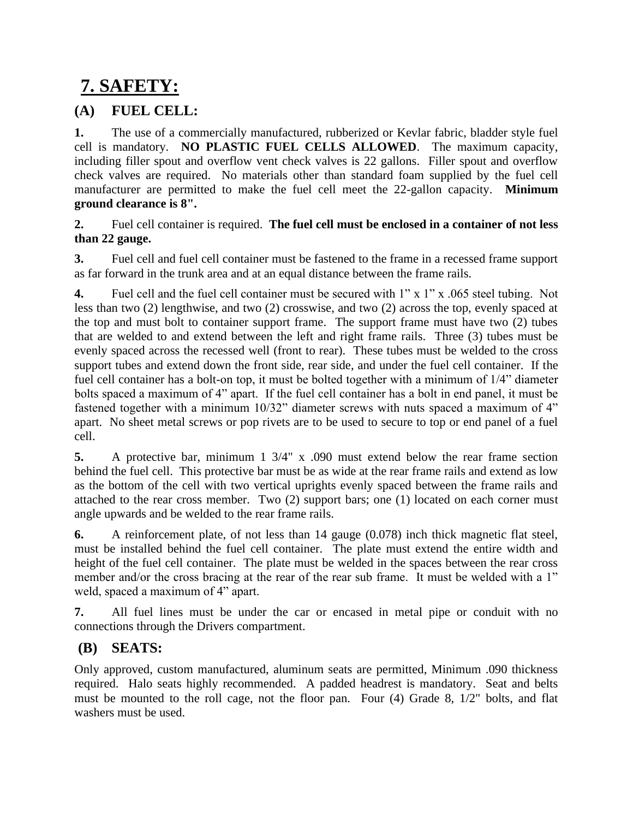# **7. SAFETY:**

### **(A) FUEL CELL:**

**1.** The use of a commercially manufactured, rubberized or Kevlar fabric, bladder style fuel cell is mandatory. **NO PLASTIC FUEL CELLS ALLOWED**. The maximum capacity, including filler spout and overflow vent check valves is 22 gallons. Filler spout and overflow check valves are required. No materials other than standard foam supplied by the fuel cell manufacturer are permitted to make the fuel cell meet the 22-gallon capacity. **Minimum ground clearance is 8".**

**2.** Fuel cell container is required. **The fuel cell must be enclosed in a container of not less than 22 gauge.**

**3.** Fuel cell and fuel cell container must be fastened to the frame in a recessed frame support as far forward in the trunk area and at an equal distance between the frame rails.

**4.** Fuel cell and the fuel cell container must be secured with 1" x 1" x .065 steel tubing. Not less than two (2) lengthwise, and two (2) crosswise, and two (2) across the top, evenly spaced at the top and must bolt to container support frame. The support frame must have two (2) tubes that are welded to and extend between the left and right frame rails. Three (3) tubes must be evenly spaced across the recessed well (front to rear). These tubes must be welded to the cross support tubes and extend down the front side, rear side, and under the fuel cell container. If the fuel cell container has a bolt-on top, it must be bolted together with a minimum of 1/4" diameter bolts spaced a maximum of 4" apart. If the fuel cell container has a bolt in end panel, it must be fastened together with a minimum 10/32" diameter screws with nuts spaced a maximum of 4" apart. No sheet metal screws or pop rivets are to be used to secure to top or end panel of a fuel cell.

**5.** A protective bar, minimum 1 3/4" x .090 must extend below the rear frame section behind the fuel cell. This protective bar must be as wide at the rear frame rails and extend as low as the bottom of the cell with two vertical uprights evenly spaced between the frame rails and attached to the rear cross member. Two (2) support bars; one (1) located on each corner must angle upwards and be welded to the rear frame rails.

**6.** A reinforcement plate, of not less than 14 gauge (0.078) inch thick magnetic flat steel, must be installed behind the fuel cell container. The plate must extend the entire width and height of the fuel cell container. The plate must be welded in the spaces between the rear cross member and/or the cross bracing at the rear of the rear sub frame. It must be welded with a 1" weld, spaced a maximum of 4" apart.

**7.** All fuel lines must be under the car or encased in metal pipe or conduit with no connections through the Drivers compartment.

### **(B) SEATS:**

Only approved, custom manufactured, aluminum seats are permitted, Minimum .090 thickness required. Halo seats highly recommended. A padded headrest is mandatory. Seat and belts must be mounted to the roll cage, not the floor pan. Four (4) Grade 8, 1/2" bolts, and flat washers must be used.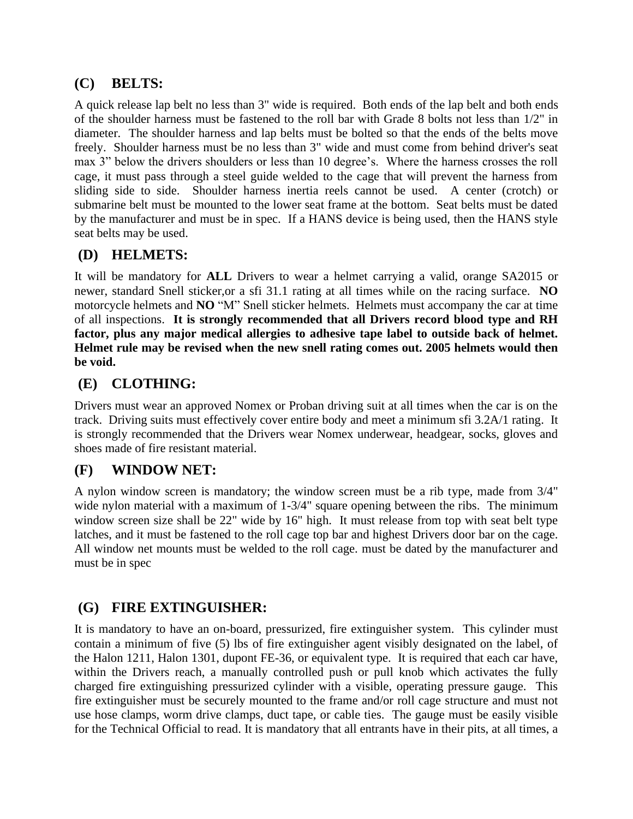### **(C) BELTS:**

A quick release lap belt no less than 3" wide is required. Both ends of the lap belt and both ends of the shoulder harness must be fastened to the roll bar with Grade 8 bolts not less than 1/2" in diameter. The shoulder harness and lap belts must be bolted so that the ends of the belts move freely. Shoulder harness must be no less than 3" wide and must come from behind driver's seat max 3" below the drivers shoulders or less than 10 degree's. Where the harness crosses the roll cage, it must pass through a steel guide welded to the cage that will prevent the harness from sliding side to side. Shoulder harness inertia reels cannot be used. A center (crotch) or submarine belt must be mounted to the lower seat frame at the bottom. Seat belts must be dated by the manufacturer and must be in spec. If a HANS device is being used, then the HANS style seat belts may be used.

### **(D) HELMETS:**

It will be mandatory for **ALL** Drivers to wear a helmet carrying a valid, orange SA2015 or newer, standard Snell sticker,or a sfi 31.1 rating at all times while on the racing surface. **NO** motorcycle helmets and **NO** "M" Snell sticker helmets. Helmets must accompany the car at time of all inspections. **It is strongly recommended that all Drivers record blood type and RH factor, plus any major medical allergies to adhesive tape label to outside back of helmet. Helmet rule may be revised when the new snell rating comes out. 2005 helmets would then be void.**

### **(E) CLOTHING:**

Drivers must wear an approved Nomex or Proban driving suit at all times when the car is on the track. Driving suits must effectively cover entire body and meet a minimum sfi 3.2A/1 rating. It is strongly recommended that the Drivers wear Nomex underwear, headgear, socks, gloves and shoes made of fire resistant material.

### **(F) WINDOW NET:**

A nylon window screen is mandatory; the window screen must be a rib type, made from 3/4" wide nylon material with a maximum of 1-3/4" square opening between the ribs. The minimum window screen size shall be 22" wide by 16" high. It must release from top with seat belt type latches, and it must be fastened to the roll cage top bar and highest Drivers door bar on the cage. All window net mounts must be welded to the roll cage. must be dated by the manufacturer and must be in spec

### **(G) FIRE EXTINGUISHER:**

It is mandatory to have an on-board, pressurized, fire extinguisher system. This cylinder must contain a minimum of five (5) lbs of fire extinguisher agent visibly designated on the label, of the Halon 1211, Halon 1301, dupont FE-36, or equivalent type. It is required that each car have, within the Drivers reach, a manually controlled push or pull knob which activates the fully charged fire extinguishing pressurized cylinder with a visible, operating pressure gauge. This fire extinguisher must be securely mounted to the frame and/or roll cage structure and must not use hose clamps, worm drive clamps, duct tape, or cable ties. The gauge must be easily visible for the Technical Official to read. It is mandatory that all entrants have in their pits, at all times, a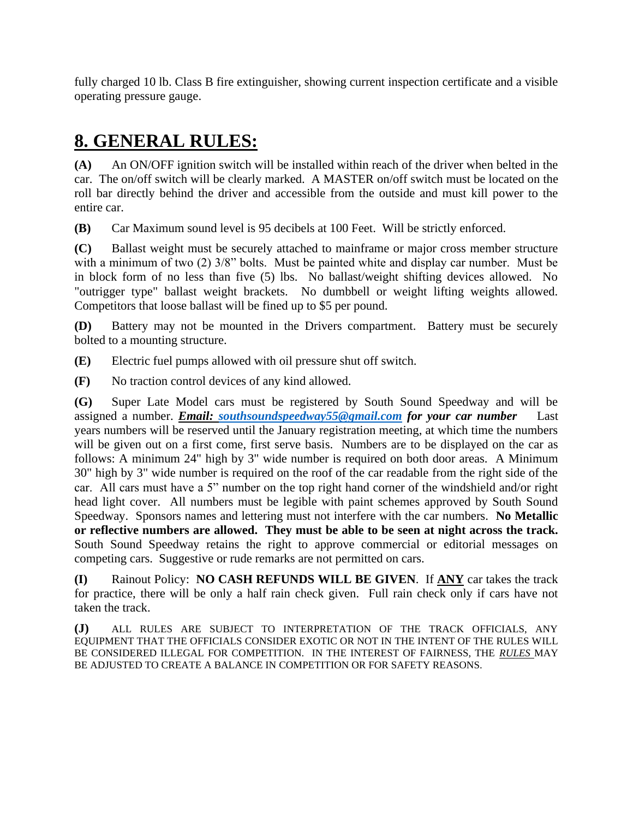fully charged 10 lb. Class B fire extinguisher, showing current inspection certificate and a visible operating pressure gauge.

# **8. GENERAL RULES:**

**(A)** An ON/OFF ignition switch will be installed within reach of the driver when belted in the car. The on/off switch will be clearly marked. A MASTER on/off switch must be located on the roll bar directly behind the driver and accessible from the outside and must kill power to the entire car.

**(B)** Car Maximum sound level is 95 decibels at 100 Feet. Will be strictly enforced.

**(C)** Ballast weight must be securely attached to mainframe or major cross member structure with a minimum of two (2)  $3/8$ " bolts. Must be painted white and display car number. Must be in block form of no less than five (5) lbs. No ballast/weight shifting devices allowed. No "outrigger type" ballast weight brackets. No dumbbell or weight lifting weights allowed. Competitors that loose ballast will be fined up to \$5 per pound.

**(D)** Battery may not be mounted in the Drivers compartment. Battery must be securely bolted to a mounting structure.

**(E)** Electric fuel pumps allowed with oil pressure shut off switch.

**(F)** No traction control devices of any kind allowed.

**(G)** Super Late Model cars must be registered by South Sound Speedway and will be assigned a number. *Email: [southsoundspeedway55@gmail.com](mailto:southsoundspeedway55@gmail.com) for your car number* Last years numbers will be reserved until the January registration meeting, at which time the numbers will be given out on a first come, first serve basis. Numbers are to be displayed on the car as follows: A minimum 24" high by 3" wide number is required on both door areas. A Minimum 30" high by 3" wide number is required on the roof of the car readable from the right side of the car. All cars must have a 5" number on the top right hand corner of the windshield and/or right head light cover. All numbers must be legible with paint schemes approved by South Sound Speedway. Sponsors names and lettering must not interfere with the car numbers. **No Metallic or reflective numbers are allowed. They must be able to be seen at night across the track.**  South Sound Speedway retains the right to approve commercial or editorial messages on competing cars. Suggestive or rude remarks are not permitted on cars.

**(I)** Rainout Policy: **NO CASH REFUNDS WILL BE GIVEN**. If **ANY** car takes the track for practice, there will be only a half rain check given. Full rain check only if cars have not taken the track.

**(J)** ALL RULES ARE SUBJECT TO INTERPRETATION OF THE TRACK OFFICIALS, ANY EQUIPMENT THAT THE OFFICIALS CONSIDER EXOTIC OR NOT IN THE INTENT OF THE RULES WILL BE CONSIDERED ILLEGAL FOR COMPETITION. IN THE INTEREST OF FAIRNESS, THE *RULES* MAY BE ADJUSTED TO CREATE A BALANCE IN COMPETITION OR FOR SAFETY REASONS.